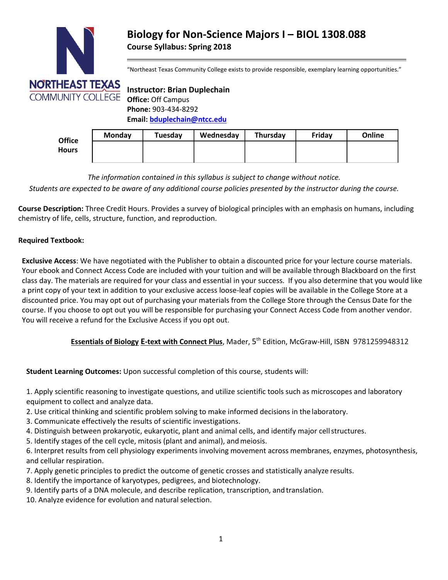

# **Biology for Non-Science Majors I – BIOL 1308**.**088 Course Syllabus: Spring 2018**

"Northeast Texas Community College exists to provide responsible, exemplary learning opportunities."

# **Instructor: Brian Duplechain Office:** Off Campus **Phone:** 903-434-8292 **Email[: bduplechain@ntcc.edu](mailto:bduplechain@ntcc.edu)**

| <b>Office</b> | <b>Monday</b> | Tuesday | Wednesday | Thursday | Friday | Online |
|---------------|---------------|---------|-----------|----------|--------|--------|
| <b>Hours</b>  |               |         |           |          |        |        |
|               |               |         |           |          |        |        |

*The information contained in this syllabus is subject to change without notice.*

*Students are expected to be aware of any additional course policies presented by the instructor during the course.*

**Course Description:** Three Credit Hours. Provides a survey of biological principles with an emphasis on humans, including chemistry of life, cells, structure, function, and reproduction.

## **Required Textbook:**

**Exclusive Access**: We have negotiated with the Publisher to obtain a discounted price for your lecture course materials. Your ebook and Connect Access Code are included with your tuition and will be available through Blackboard on the first class day. The materials are required for your class and essential in your success. If you also determine that you would like a print copy of your text in addition to your exclusive access loose-leaf copies will be available in the College Store at a discounted price. You may opt out of purchasing your materials from the College Store through the Census Date for the course. If you choose to opt out you will be responsible for purchasing your Connect Access Code from another vendor. You will receive a refund for the Exclusive Access if you opt out.

## **Essentials of Biology E-text with Connect Plus**, Mader, 5 th Edition, McGraw-Hill, ISBN 9781259948312

**Student Learning Outcomes:** Upon successful completion of this course, students will:

1. Apply scientific reasoning to investigate questions, and utilize scientific tools such as microscopes and laboratory equipment to collect and analyze data.

- 2. Use critical thinking and scientific problem solving to make informed decisions in the laboratory.
- 3. Communicate effectively the results of scientific investigations.
- 4. Distinguish between prokaryotic, eukaryotic, plant and animal cells, and identify major cellstructures.
- 5. Identify stages of the cell cycle, mitosis (plant and animal), andmeiosis.

6. Interpret results from cell physiology experiments involving movement across membranes, enzymes, photosynthesis, and cellular respiration.

- 7. Apply genetic principles to predict the outcome of genetic crosses and statistically analyze results.
- 8. Identify the importance of karyotypes, pedigrees, and biotechnology.
- 9. Identify parts of a DNA molecule, and describe replication, transcription, and translation.
- 10. Analyze evidence for evolution and natural selection.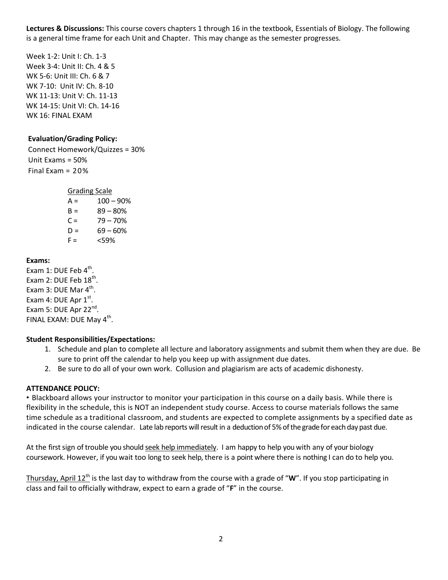**Lectures & Discussions:** This course covers chapters 1 through 16 in the textbook, Essentials of Biology. The following is a general time frame for each Unit and Chapter. This may change as the semester progresses.

Week 1-2: Unit I: Ch. 1-3 Week 3-4: Unit II: Ch. 4 & 5 WK 5-6: Unit III: Ch. 6 & 7 WK 7-10: Unit IV: Ch. 8-10 WK 11-13: Unit V: Ch. 11-13 WK 14-15: Unit VI: Ch. 14-16 WK 16: FINAL EXAM

## **Evaluation/Grading Policy:**

Connect Homework/Quizzes = 30% Unit Exams = 50% Final Exam = 20%

Grading Scale

 $A = 100 - 90%$  $B = 89 - 80%$  $C = 79 - 70%$  $D = 69 - 60%$  $F = \frac{-59\%}{20}$ 

### **Exams:**

Exam 1: DUE Feb  $4^{\text{th}}$ . Exam 2: DUE Feb  $18^{\text{th}}$ . Exam 3: DUE Mar  $4^{\text{th}}$ . Exam 4: DUE Apr  $1^{\text{st}}$ . Exam 5: DUE Apr 22<sup>nd</sup>. FINAL EXAM: DUE May 4<sup>th</sup>.

## **Student Responsibilities/Expectations:**

- 1. Schedule and plan to complete all lecture and laboratory assignments and submit them when they are due. Be sure to print off the calendar to help you keep up with assignment due dates.
- 2. Be sure to do all of your own work. Collusion and plagiarism are acts of academic dishonesty.

### **ATTENDANCE POLICY:**

• Blackboard allows your instructor to monitor your participation in this course on a daily basis. While there is flexibility in the schedule, this is NOT an independent study course. Access to course materials follows the same time schedule as a traditional classroom, and students are expected to complete assignments by a specified date as indicated in the course calendar. Late lab reports will result in a deduction of 5% of the grade for each day past due.

At the first sign of trouble you should seek help immediately. I am happy to help you with any of your biology coursework. However, if you wait too long to seek help, there is a point where there is nothing I can do to help you.

Thursday, April 12<sup>th</sup> is the last day to withdraw from the course with a grade of "W". If you stop participating in class and fail to officially withdraw, expect to earn a grade of "**F**" in the course.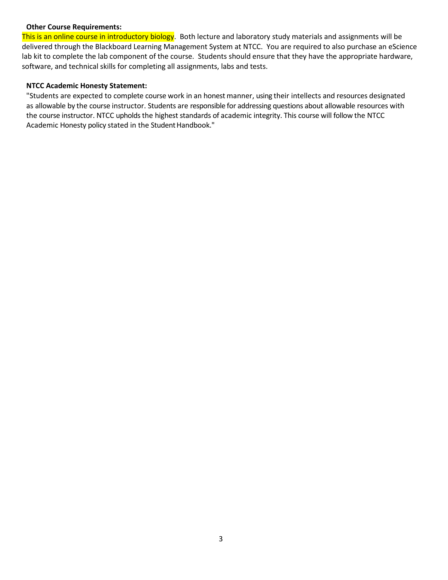#### **Other Course Requirements:**

This is an online course in introductory biology. Both lecture and laboratory study materials and assignments will be delivered through the Blackboard Learning Management System at NTCC. You are required to also purchase an eScience lab kit to complete the lab component of the course. Students should ensure that they have the appropriate hardware, software, and technical skills for completing all assignments, labs and tests.

#### **NTCC Academic Honesty Statement:**

"Students are expected to complete course work in an honest manner, using their intellects and resources designated as allowable by the course instructor. Students are responsible for addressing questions about allowable resources with the course instructor. NTCC upholds the highest standards of academic integrity. This course will follow the NTCC Academic Honesty policy stated in the Student Handbook."